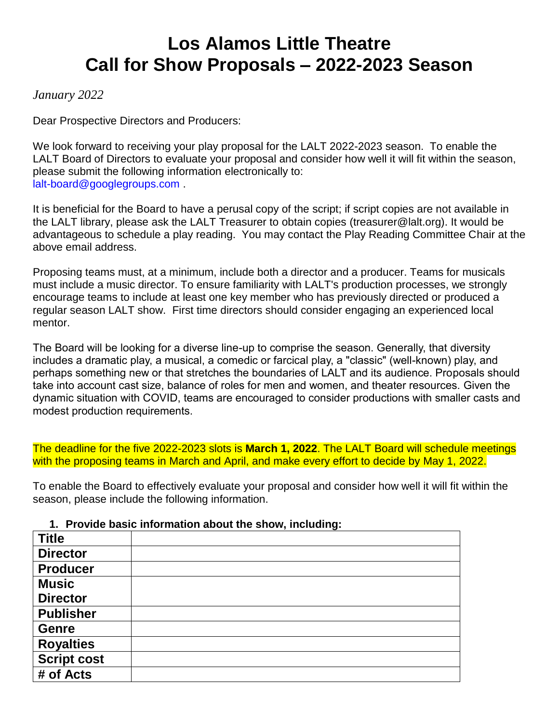# **Los Alamos Little Theatre Call for Show Proposals – 2022-2023 Season**

## *January 2022*

Dear Prospective Directors and Producers:

We look forward to receiving your play proposal for the LALT 2022-2023 season. To enable the LALT Board of Directors to evaluate your proposal and consider how well it will fit within the season, please submit the following information electronically to: lalt-board@googlegroups.com .

It is beneficial for the Board to have a perusal copy of the script; if script copies are not available in the LALT library, please ask the LALT Treasurer to obtain copies (treasurer@lalt.org). It would be advantageous to schedule a play reading. You may contact the Play Reading Committee Chair at the above email address.

Proposing teams must, at a minimum, include both a director and a producer. Teams for musicals must include a music director. To ensure familiarity with LALT's production processes, we strongly encourage teams to include at least one key member who has previously directed or produced a regular season LALT show. First time directors should consider engaging an experienced local mentor.

The Board will be looking for a diverse line-up to comprise the season. Generally, that diversity includes a dramatic play, a musical, a comedic or farcical play, a "classic" (well-known) play, and perhaps something new or that stretches the boundaries of LALT and its audience. Proposals should take into account cast size, balance of roles for men and women, and theater resources. Given the dynamic situation with COVID, teams are encouraged to consider productions with smaller casts and modest production requirements.

The deadline for the five 2022-2023 slots is **March 1, 2022**. The LALT Board will schedule meetings with the proposing teams in March and April, and make every effort to decide by May 1, 2022.

To enable the Board to effectively evaluate your proposal and consider how well it will fit within the season, please include the following information.

#### **1. Provide basic information about the show, including:**